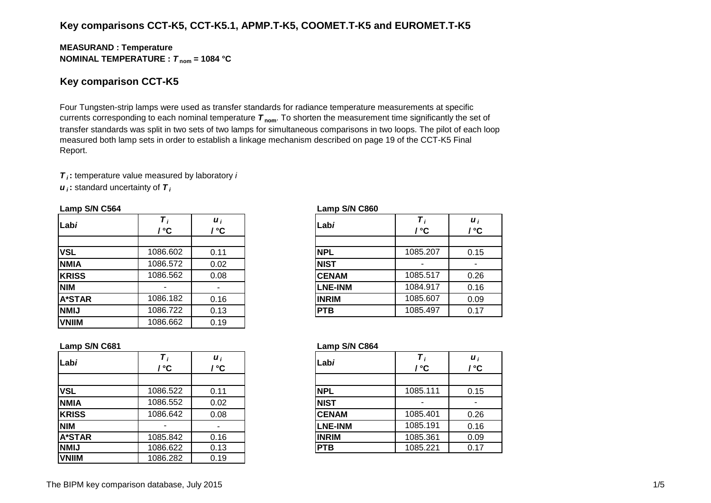# **Key comparisons CCT-K5, CCT-K5.1, APMP.T-K5, COOMET.T-K5 and EUROMET.T-K5**

## **MEASURAND : Temperature NOMINAL TEMPERATURE :**  $T_{\text{nom}} = 1084 \text{ °C}$

# **Key comparison CCT-K5**

Four Tungsten-strip lamps were used as transfer standards for radiance temperature measurements at specific currents corresponding to each nominal temperature *T* **nom**. To shorten the measurement time significantly the set of transfer standards was split in two sets of two lamps for simultaneous comparisons in two loops. The pilot of each loop measured both lamp sets in order to establish a linkage mechanism described on page 19 of the CCT-K5 Final Report.

*T i* **:** temperature value measured by laboratory *i*

*u i* **:** standard uncertainty of *T <sup>i</sup>*

#### **Lamp S/N C564 Lamp S/N C860**

| Labi          | ' ℃      | $\boldsymbol{u}_i$<br>/ °C | Labi           | / °C     | / °C |
|---------------|----------|----------------------------|----------------|----------|------|
| <b>VSL</b>    | 1086.602 | 0.11                       | <b>NPL</b>     | 1085.207 | 0.15 |
| <b>NMIA</b>   | 1086.572 | 0.02                       | <b>NIST</b>    |          |      |
| <b>KRISS</b>  | 1086.562 | 0.08                       | <b>CENAM</b>   | 1085.517 |      |
| <b>NIM</b>    |          |                            | <b>LNE-INM</b> | 1084.917 | 0.16 |
| <b>A*STAR</b> | 1086.182 | 0.16                       | <b>INRIM</b>   | 1085.607 | 0.09 |
| <b>NMIJ</b>   | 1086.722 | 0.13                       | <b>PTB</b>     | 1085.497 |      |
| <b>VNIIM</b>  | 1086.662 | 0.19                       |                |          |      |

| Labi           | т,<br>/ °C | $\boldsymbol{u}_i$<br>/ °C |
|----------------|------------|----------------------------|
|                |            |                            |
| <b>NPL</b>     | 1085.207   | 0.15                       |
| <b>NIST</b>    |            |                            |
| <b>CENAM</b>   | 1085.517   | 0.26                       |
| <b>LNE-INM</b> | 1084.917   | 0.16                       |
| <b>INRIM</b>   | 1085.607   | 0.09                       |
| PTB            | 1085.497   | 0.17                       |

#### **Lamp S/N C681 Lamp S/N C864**

| Labi           | $\tau$<br>/ °C | $\boldsymbol{u}$<br>/°C |  |
|----------------|----------------|-------------------------|--|
|                |                |                         |  |
| <b>NPL</b>     | 1085.111       | 0.15                    |  |
| <b>NIST</b>    |                |                         |  |
| <b>CENAM</b>   | 1085.401       | 0.26                    |  |
| <b>LNE-INM</b> | 1085.191       | 0.16                    |  |
| <b>INRIM</b>   | 1085.361       | 0.09                    |  |
| PTB            | 1085.221       | 0.17                    |  |

| Labi          | / °C     | $\boldsymbol{u}_i$<br>′ °C | Labi           | / ℃      | $\boldsymbol{u}_i$<br>/ °C |
|---------------|----------|----------------------------|----------------|----------|----------------------------|
|               |          |                            |                |          |                            |
| <b>VSL</b>    | 1086.522 | 0.11                       | INPL           | 1085.111 | 0.15                       |
| <b>NMIA</b>   | 1086.552 | 0.02                       | <b>INIST</b>   |          |                            |
| <b>KRISS</b>  | 1086.642 | 0.08                       | <b>CENAM</b>   | 1085.401 | 0.26                       |
| <b>NIM</b>    |          |                            | <b>LNE-INM</b> | 1085.191 | 0.16                       |
| <b>A*STAR</b> | 1085.842 | 0.16                       | <b>INRIM</b>   | 1085.361 | 0.09                       |
| <b>NMIJ</b>   | 1086.622 | 0.13                       | <b>PTB</b>     | 1085.221 | 0.17                       |
| <b>VNIIM</b>  | 1086.282 | 0.19                       |                |          |                            |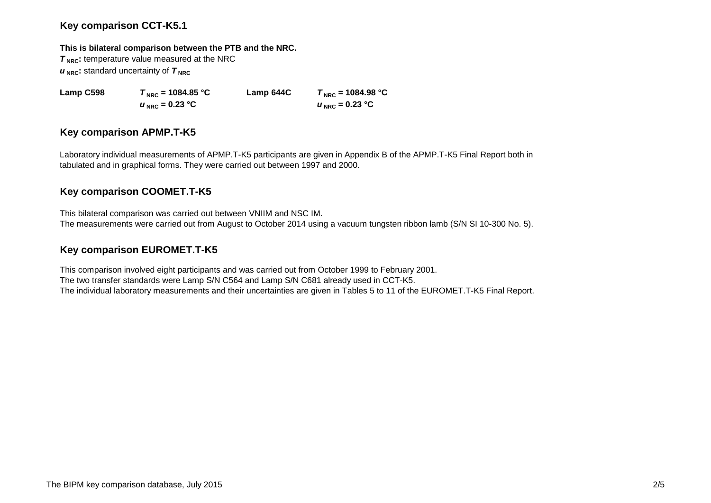# **Key comparison CCT-K5.1**

### **This is bilateral comparison between the PTB and the NRC.**

**T<sub>NRC</sub>**: temperature value measured at the NRC  $u_{\text{NRC}}$ : standard uncertainty of  $T_{\text{NRC}}$ 

**Lamp C598** *T***<sub>NRC</sub> = 1084.85 °C <b>Lamp 644C**  $T_{NRC}$  = 1084.98 °C  $u_{\text{NRC}} = 0.23 \text{ °C}$  *u*  $u_{\text{NRC}} = 0.23 \text{ °C}$ 

# **Key comparison APMP.T-K5**

Laboratory individual measurements of APMP.T-K5 participants are given in Appendix B of the APMP.T-K5 Final Report both in tabulated and in graphical forms. They were carried out between 1997 and 2000.

# **Key comparison COOMET.T-K5**

This bilateral comparison was carried out between VNIIM and NSC IM. The measurements were carried out from August to October 2014 using a vacuum tungsten ribbon lamb (S/N SI 10-300 No. 5).

# **Key comparison EUROMET.T-K5**

This comparison involved eight participants and was carried out from October 1999 to February 2001. The two transfer standards were Lamp S/N C564 and Lamp S/N C681 already used in CCT-K5. The individual laboratory measurements and their uncertainties are given in Tables 5 to 11 of the EUROMET.T-K5 Final Report.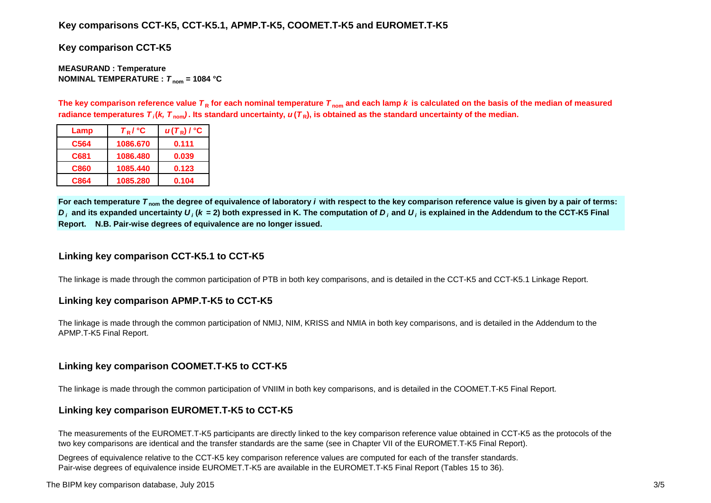## **Key comparisons CCT-K5, CCT-K5.1, APMP.T-K5, COOMET.T-K5 and EUROMET.T-K5**

**Key comparison CCT-K5**

**MEASURAND : Temperature NOMINAL TEMPERATURE :**  $T_{nom} = 1084 °C$ 

The key comparison reference value  $T_R$  for each nominal temperature  $T_{nom}$  and each lamp k is calculated on the basis of the median of measured radiance temperatures  $\bm{\tau}_i$ (*k, T*  $_{\sf nom}$ ). Its standard uncertainty,  $\bm{u}(\bm{\tau}_{\sf R})$ , is obtained as the standard uncertainty of the median.

| Lamp | $T_R$ / $\degree$ C | $u(T_R)$ / °C |
|------|---------------------|---------------|
| C564 | 1086.670            | 0.111         |
| C681 | 1086.480            | 0.039         |
| C860 | 1085.440            | 0.123         |
| C864 | 1085.280            | 0.104         |

For each temperature  $T_{nom}$  the degree of equivalence of laboratory *i* with respect to the key comparison reference value is given by a pair of terms:  $\bm{D}_i$  and its expanded uncertainty  $\bm{U}_i$  ( $\bm{k}$  = 2) both expressed in K. The computation of  $\bm{D}_i$  and  $\bm{U}_i$  is explained in the Addendum to the CCT-K5 Final **Report. N.B. Pair-wise degrees of equivalence are no longer issued.**

# **Linking key comparison CCT-K5.1 to CCT-K5**

The linkage is made through the common participation of PTB in both key comparisons, and is detailed in the CCT-K5 and CCT-K5.1 Linkage Report.

## **Linking key comparison APMP.T-K5 to CCT-K5**

The linkage is made through the common participation of NMIJ, NIM, KRISS and NMIA in both key comparisons, and is detailed in the Addendum to the APMP.T-K5 Final Report.

## **Linking key comparison COOMET.T-K5 to CCT-K5**

The linkage is made through the common participation of VNIIM in both key comparisons, and is detailed in the COOMET.T-K5 Final Report.

## **Linking key comparison EUROMET.T-K5 to CCT-K5**

The measurements of the EUROMET.T-K5 participants are directly linked to the key comparison reference value obtained in CCT-K5 as the protocols of the two key comparisons are identical and the transfer standards are the same (see in Chapter VII of the EUROMET.T-K5 Final Report).

Degrees of equivalence relative to the CCT-K5 key comparison reference values are computed for each of the transfer standards. Pair-wise degrees of equivalence inside EUROMET.T-K5 are available in the EUROMET.T-K5 Final Report (Tables 15 to 36).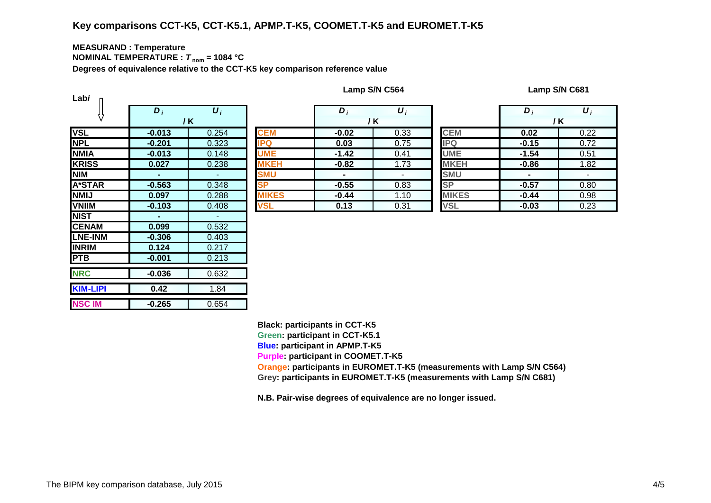# **Key comparisons CCT-K5, CCT-K5.1, APMP.T-K5, COOMET.T-K5 and EUROMET.T-K5**

#### **MEASURAND : Temperature NOMINAL TEMPERATURE :**  $T_{\text{nom}} = 1084 \text{ °C}$

**Degrees of equivalence relative to the CCT-K5 key comparison reference value**

| Labi            |                |                  |              |                |                  |              |                |                  |
|-----------------|----------------|------------------|--------------|----------------|------------------|--------------|----------------|------------------|
|                 | $D_i$          | $\overline{U_i}$ |              | $D_i$          | $\overline{U_i}$ |              | $D_i$          | $\overline{U_i}$ |
|                 |                | / K              |              |                | / K              |              | / K            |                  |
| <b>VSL</b>      | $-0.013$       | 0.254            | <b>CEM</b>   | $-0.02$        | 0.33             | <b>CEM</b>   | 0.02           | 0.22             |
| <b>NPL</b>      | $-0.201$       | 0.323            | <b>IPQ</b>   | 0.03           | 0.75             | <b>IPQ</b>   | $-0.15$        | 0.72             |
| <b>NMIA</b>     | $-0.013$       | 0.148            | <b>UME</b>   | $-1.42$        | 0.41             | <b>UME</b>   | $-1.54$        | 0.51             |
| <b>KRISS</b>    | 0.027          | 0.238            | <b>MKEH</b>  | $-0.82$        | 1.73             | <b>MKEH</b>  | $-0.86$        | 1.82             |
| <b>NIM</b>      | ٠              | ٠                | <b>SMU</b>   | $\blacksquare$ |                  | <b>SMU</b>   | $\blacksquare$ |                  |
| <b>A*STAR</b>   | $-0.563$       | 0.348            | <b>SP</b>    | $-0.55$        | 0.83             | <b>SP</b>    | $-0.57$        | 0.80             |
| <b>NMIJ</b>     | 0.097          | 0.288            | <b>MIKES</b> | $-0.44$        | 1.10             | <b>MIKES</b> | $-0.44$        | 0.98             |
| <b>VNIIM</b>    | $-0.103$       | 0.408            | <b>VSL</b>   | 0.13           | 0.31             | <b>VSL</b>   | $-0.03$        | 0.23             |
| <b>NIST</b>     | $\blacksquare$ | ٠                |              |                |                  |              |                |                  |
| <b>CENAM</b>    | 0.099          | 0.532            |              |                |                  |              |                |                  |
| <b>LNE-INM</b>  | $-0.306$       | 0.403            |              |                |                  |              |                |                  |
| <b>INRIM</b>    | 0.124          | 0.217            |              |                |                  |              |                |                  |
| <b>PTB</b>      | $-0.001$       | 0.213            |              |                |                  |              |                |                  |
| <b>NRC</b>      | $-0.036$       | 0.632            |              |                |                  |              |                |                  |
| <b>KIM-LIPI</b> | 0.42           | 1.84             |              |                |                  |              |                |                  |
| <b>NSC IM</b>   | $-0.265$       | 0.654            |              |                |                  |              |                |                  |

| $\bm{D}_i$               | $\boldsymbol{U}_i$ |              | $\bm{D}_i$     | $\boldsymbol{U}_i$       |              | $\bm{D}$       | $\boldsymbol{U}$ |
|--------------------------|--------------------|--------------|----------------|--------------------------|--------------|----------------|------------------|
|                          | / K                |              |                | / K                      |              |                | / K              |
| .013                     | 0.254              | <b>CEM</b>   | $-0.02$        | 0.33                     | <b>CEM</b>   | 0.02           | 0.2              |
| .201                     | 0.323              | <b>IPQ</b>   | 0.03           | 0.75                     | <b>IPQ</b>   | $-0.15$        | 0.7              |
| .013                     | 0.148              | <b>UME</b>   | $-1.42$        | 0.41                     | <b>UME</b>   | $-1.54$        | 0.5              |
| .027                     | 0.238              | <b>MKEH</b>  | $-0.82$        | 1.73                     | <b>MKEH</b>  | $-0.86$        | 1.8              |
| $\overline{\phantom{a}}$ | $\sim$             | <b>SMU</b>   | $\blacksquare$ | $\overline{\phantom{a}}$ | <b>SMU</b>   | $\blacksquare$ |                  |
| .563                     | 0.348              | <b>SP</b>    | $-0.55$        | 0.83                     | <b>SP</b>    | $-0.57$        | 0.8              |
| .097                     | 0.288              | <b>MIKES</b> | $-0.44$        | 1.10                     | <b>MIKES</b> | $-0.44$        | 0.9              |
| .103                     | 0.408              | <b>VSL</b>   | 0.13           | 0.31                     | <b>VSL</b>   | $-0.03$        | 0.2              |

|              | $D_i$   | $\boldsymbol{U}_i$ |  |  |
|--------------|---------|--------------------|--|--|
|              | / K     |                    |  |  |
| <b>CEM</b>   | 0.02    | 0.22               |  |  |
| <b>IPQ</b>   | $-0.15$ | 0.72               |  |  |
| <b>UME</b>   | $-1.54$ | 0.51               |  |  |
| <b>MKEH</b>  | $-0.86$ | 1.82               |  |  |
| <b>SMU</b>   |         |                    |  |  |
| <b>SP</b>    | $-0.57$ | 0.80               |  |  |
| <b>MIKES</b> | $-0.44$ | 0.98               |  |  |
| <b>VSL</b>   | $-0.03$ | 0.23               |  |  |

**Lamp S/N C564 Lamp S/N C681**

**Black: participants in CCT-K5 Green: participant in CCT-K5.1 Blue: participant in APMP.T-K5 Purple: participant in COOMET.T-K5 Orange: participants in EUROMET.T-K5 (measurements with Lamp S/N C564) Grey: participants in EUROMET.T-K5 (measurements with Lamp S/N C681)**

**N.B. Pair-wise degrees of equivalence are no longer issued.**